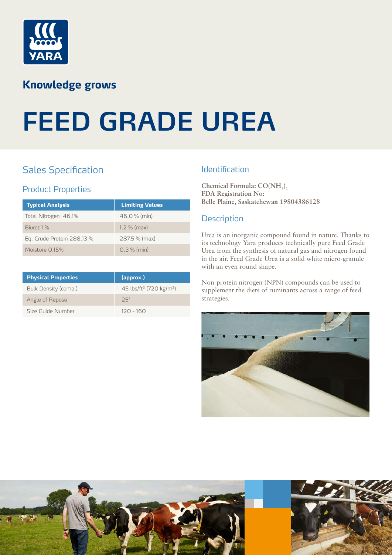

# **Knowledge grows**

# **FEED GRADE UREA**

## Sales Specification

## Product Properties

| <b>Typical Analysis</b>    | <b>Limiting Values</b> |
|----------------------------|------------------------|
| Total Nitrogen 46.1%       | $46.0 %$ (min)         |
| Biuret 1 %                 | 1.2 % (max)            |
| Eq. Crude Protein 288.13 % | 287.5 % (max)          |
| Moisture 0.15%             | $0.3 %$ (min)          |

| <b>Physical Properties</b> | (approx.)                                       |
|----------------------------|-------------------------------------------------|
| Bulk Density (comp.)       | 45 lbs/ft <sup>3</sup> (720 kg/m <sup>3</sup> ) |
| Angle of Repose            | つら゜                                             |
| Size Guide Number          | $120 - 160$                                     |

### **Identification**

Chemical Formula:  $CO(NH_2)$ **FDA Registration No: Belle Plaine, Saskatchewan 19804386128**

### **Description**

Urea is an inorganic compound found in nature. Thanks to its technology Yara produces technically pure Feed Grade Urea from the synthesis of natural gas and nitrogen found in the air. Feed Grade Urea is a solid white micro-granule with an even round shape.

Non-protein nitrogen (NPN) compounds can be used to supplement the diets of ruminants across a range of feed strategies.